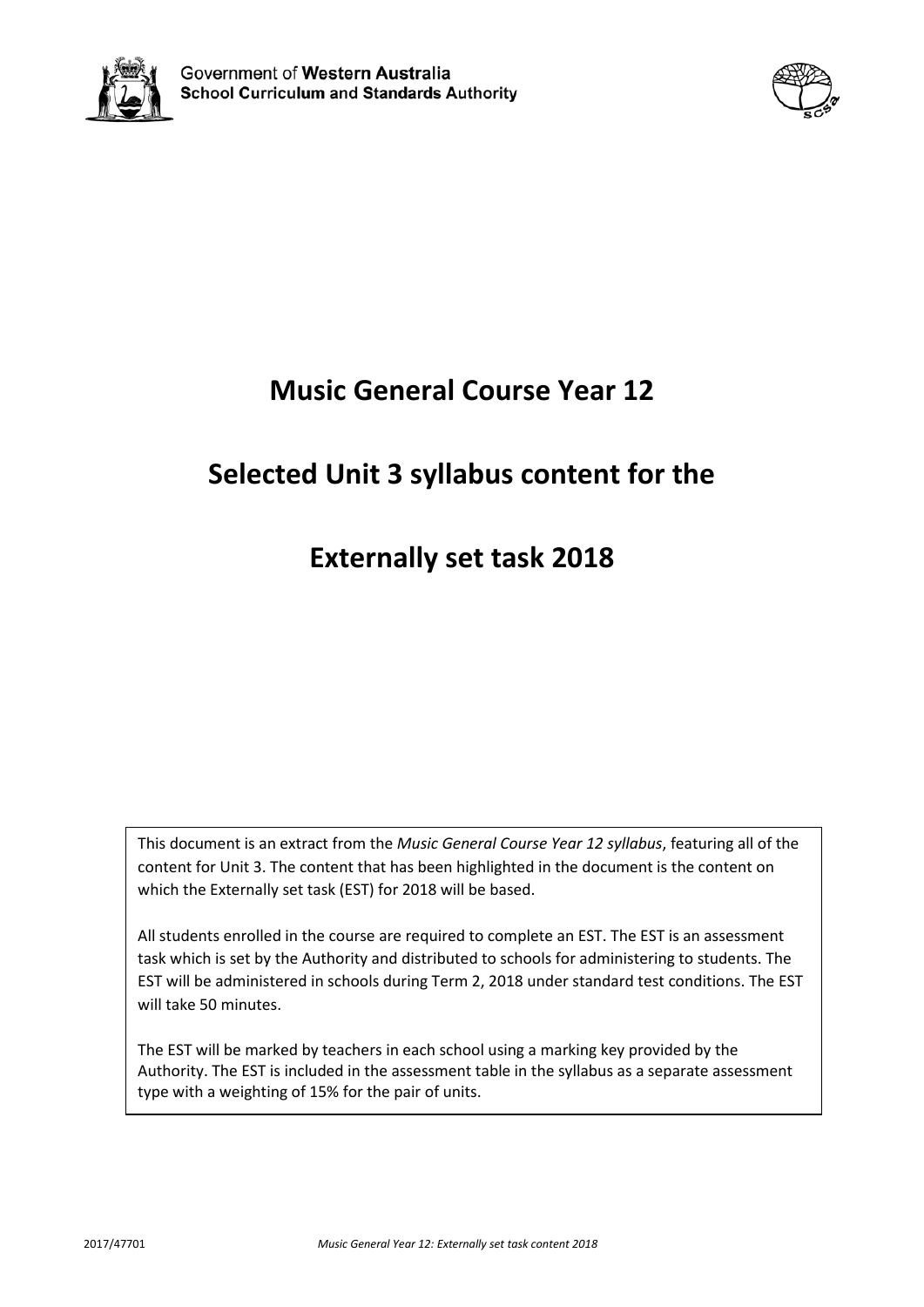



# **Music General Course Year 12**

# **Selected Unit 3 syllabus content for the**

# **Externally set task 2018**

This document is an extract from the *Music General Course Year 12 syllabus*, featuring all of the content for Unit 3. The content that has been highlighted in the document is the content on which the Externally set task (EST) for 2018 will be based.

All students enrolled in the course are required to complete an EST. The EST is an assessment task which is set by the Authority and distributed to schools for administering to students. The EST will be administered in schools during Term 2, 2018 under standard test conditions. The EST will take 50 minutes.

The EST will be marked by teachers in each school using a marking key provided by the Authority. The EST is included in the assessment table in the syllabus as a separate assessment type with a weighting of 15% for the pair of units.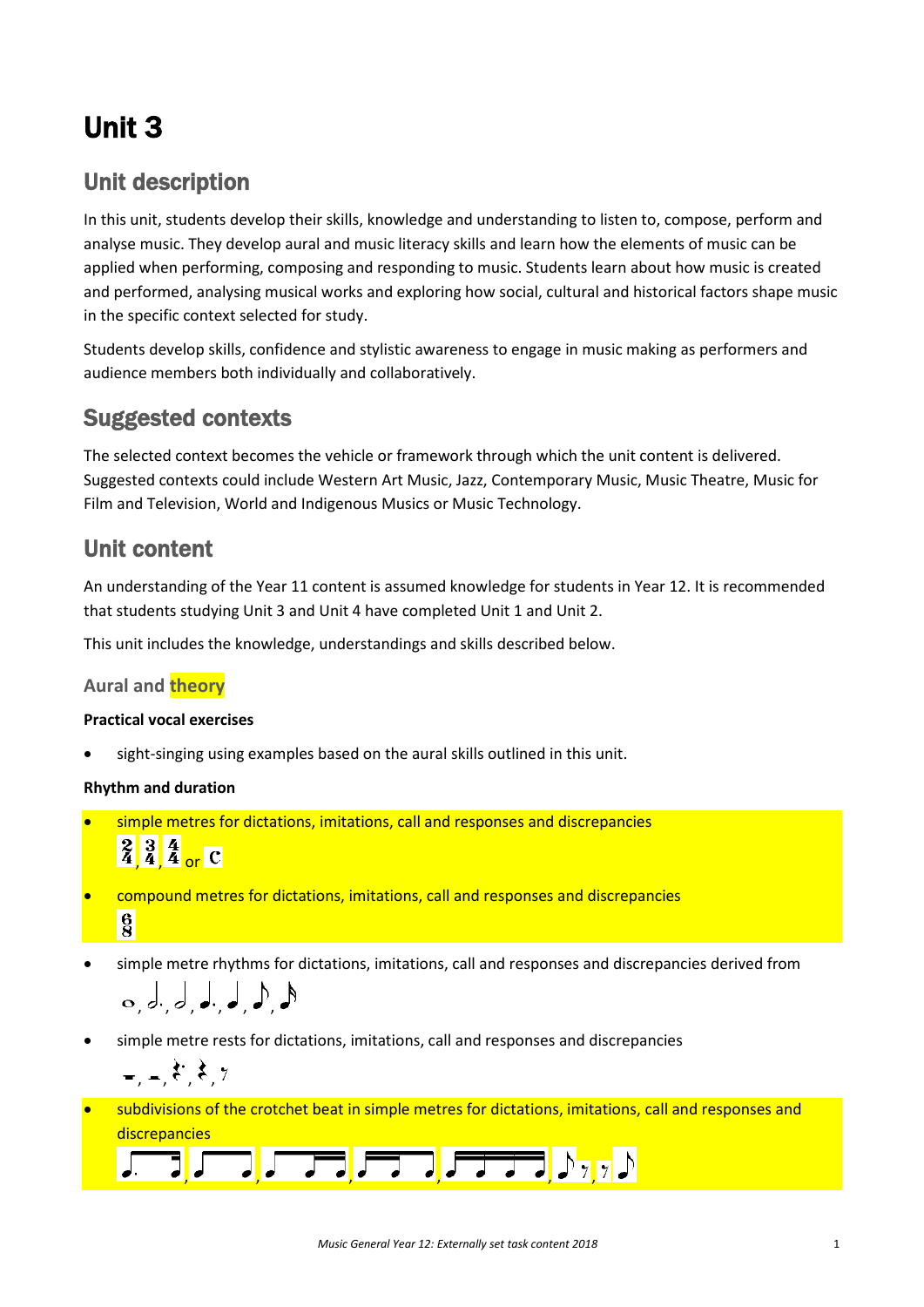# Unit 3

## Unit description

In this unit, students develop their skills, knowledge and understanding to listen to, compose, perform and analyse music. They develop aural and music literacy skills and learn how the elements of music can be applied when performing, composing and responding to music. Students learn about how music is created and performed, analysing musical works and exploring how social, cultural and historical factors shape music in the specific context selected for study.

Students develop skills, confidence and stylistic awareness to engage in music making as performers and audience members both individually and collaboratively.

## Suggested contexts

The selected context becomes the vehicle or framework through which the unit content is delivered. Suggested contexts could include Western Art Music, Jazz, Contemporary Music, Music Theatre, Music for Film and Television, World and Indigenous Musics or Music Technology.

## Unit content

An understanding of the Year 11 content is assumed knowledge for students in Year 12. It is recommended that students studying Unit 3 and Unit 4 have completed Unit 1 and Unit 2.

This unit includes the knowledge, understandings and skills described below.

## **Aural and theory**

## **Practical vocal exercises**

sight-singing using examples based on the aural skills outlined in this unit.

## **Rhythm and duration**

simple metres for dictations, imitations, call and responses and discrepancies

 $\frac{2}{4}$  $\frac{3}{4}$  $\frac{4}{4}$  or C

- compound metres for dictations, imitations, call and responses and discrepancies  $\frac{6}{8}$
- simple metre rhythms for dictations, imitations, call and responses and discrepancies derived from , , , , , ,
- simple metre rests for dictations, imitations, call and responses and discrepancies

$$
=,-, \xi^*, \xi, \gamma
$$

• subdivisions of the crotchet beat in simple metres for dictations, imitations, call and responses and discrepancies

$$
\boxed{1.13} \boxed{1.13} \boxed{1.133} \boxed{1.133} \boxed{1.1333} \boxed{1.1333}
$$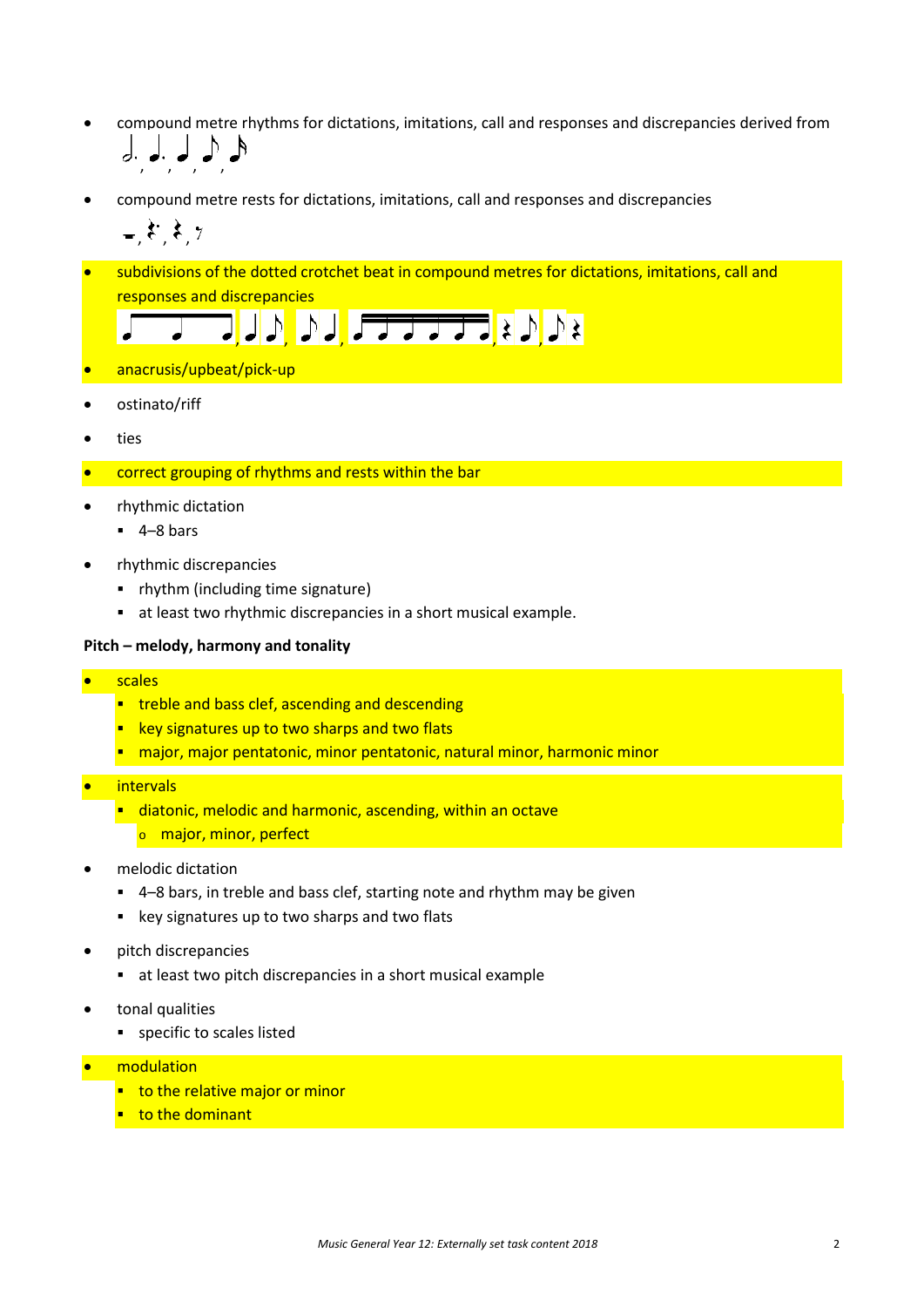- compound metre rhythms for dictations, imitations, call and responses and discrepancies derived from , , , ,
- compound metre rests for dictations, imitations, call and responses and discrepancies

 $\frac{1}{2}$ ,  $\frac{1}{2}$ ,  $\frac{1}{2}$ 

• subdivisions of the dotted crotchet beat in compound metres for dictations, imitations, call and responses and discrepancies

▔<mark>▏</mark>▎▌<mark>▏</mark>▁▁<del>▁▁▁▁▁</del>▔▏▘<mark>〉</mark>

- anacrusis/upbeat/pick-up
- ostinato/riff
- ties
- correct grouping of rhythms and rests within the bar
- rhythmic dictation
	- $-4-8$  bars
- rhythmic discrepancies
	- rhythm (including time signature)
	- at least two rhythmic discrepancies in a short musical example.

#### **Pitch – melody, harmony and tonality**

- scales
	- **treble and bass clef, ascending and descending**
	- **EXEG** key signatures up to two sharps and two flats
	- **Theormal mantal manuation is a mantatonic, natural minor, harmonic minor**
- **intervals** 
	- **E** diatonic, melodic and harmonic, ascending, within an octave
		- o major, minor, perfect
- melodic dictation
	- 4–8 bars, in treble and bass clef, starting note and rhythm may be given
	- **EXECT:** key signatures up to two sharps and two flats
- pitch discrepancies
	- at least two pitch discrepancies in a short musical example
- tonal qualities
	- **specific to scales listed**
- modulation
	- **to the relative major or minor**
	- to the dominant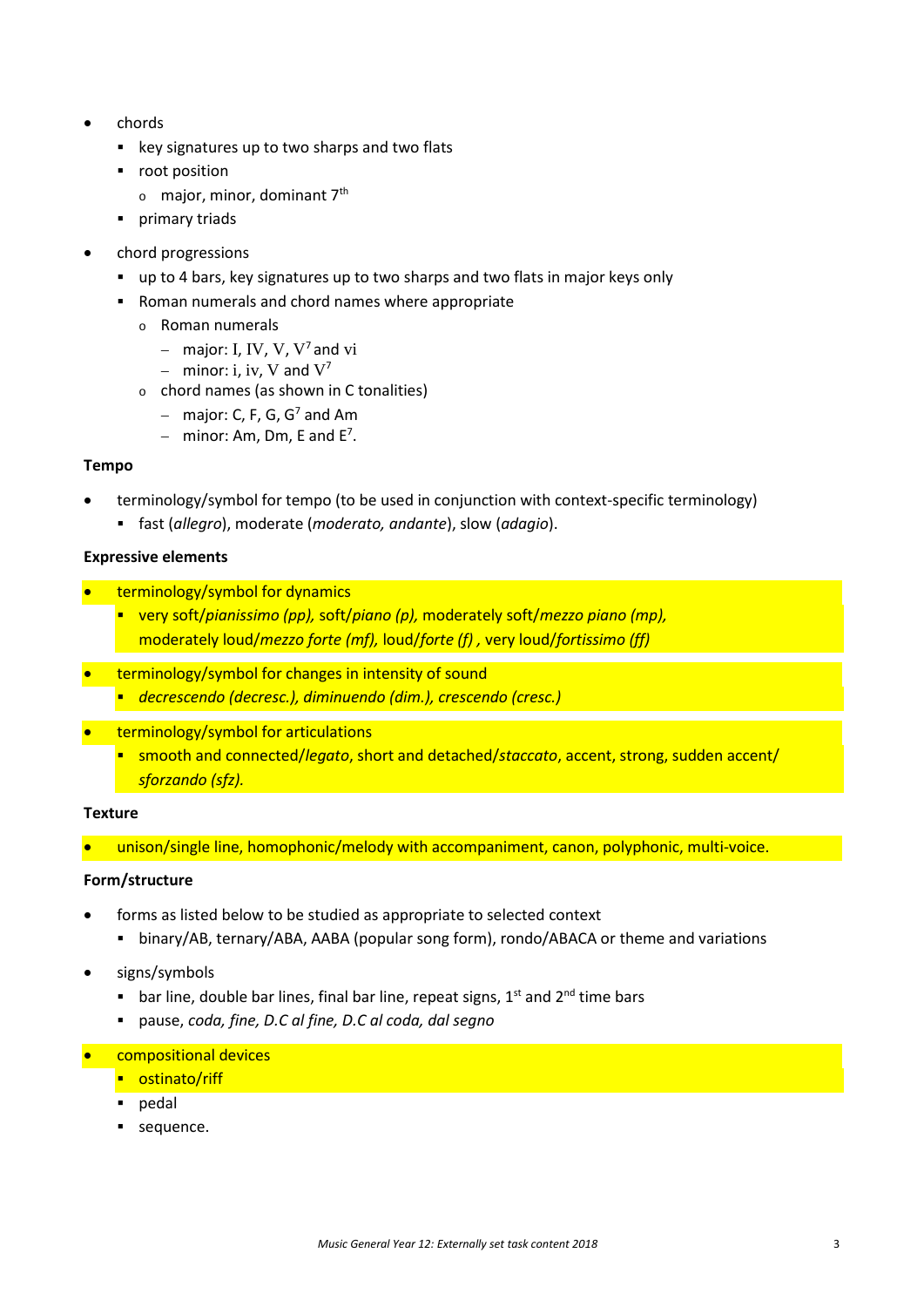- chords
	- **EXECT:** key signatures up to two sharps and two flats
	- root position
		- $\circ$  major, minor, dominant 7<sup>th</sup>
	- **•** primary triads
- chord progressions
	- up to 4 bars, key signatures up to two sharps and two flats in major keys only
	- Roman numerals and chord names where appropriate
		- o Roman numerals
			- − major: I, IV, V, V7 and vi
			- − minor: i, iv, V and V<sup>7</sup>
		- o chord names (as shown in C tonalities)
			- − major: C, F, G, G7 and Am
			- $-$  minor: Am, Dm, E and E<sup>7</sup>.

#### **Tempo**

- terminology/symbol for tempo (to be used in conjunction with context-specific terminology)
	- fast (*allegro*), moderate (*moderato, andante*), slow (*adagio*).

#### **Expressive elements**

- terminology/symbol for dynamics
	- very soft/*pianissimo (pp),* soft/*piano (p),* moderately soft/*mezzo piano (mp),*  moderately loud/*mezzo forte (mf),* loud/*forte (f) ,* very loud/*fortissimo (ff)*
- terminology/symbol for changes in intensity of sound
	- *decrescendo (decresc.), diminuendo (dim.), crescendo (cresc.)*
- terminology/symbol for articulations
	- smooth and connected/*legato*, short and detached/*staccato*, accent, strong, sudden accent/ *sforzando (sfz).*

#### **Texture**

unison/single line, homophonic/melody with accompaniment, canon, polyphonic, multi-voice.

## **Form/structure**

- forms as listed below to be studied as appropriate to selected context
	- binary/AB, ternary/ABA, AABA (popular song form), rondo/ABACA or theme and variations
- signs/symbols
	- **bar line, double bar lines, final bar line, repeat signs,**  $1^{st}$  **and**  $2^{nd}$  **time bars**
	- pause, *coda, fine, D.C al fine, D.C al coda, dal segno*
- compositional devices
	- **•** ostinato/riff
	- **pedal**
	- sequence.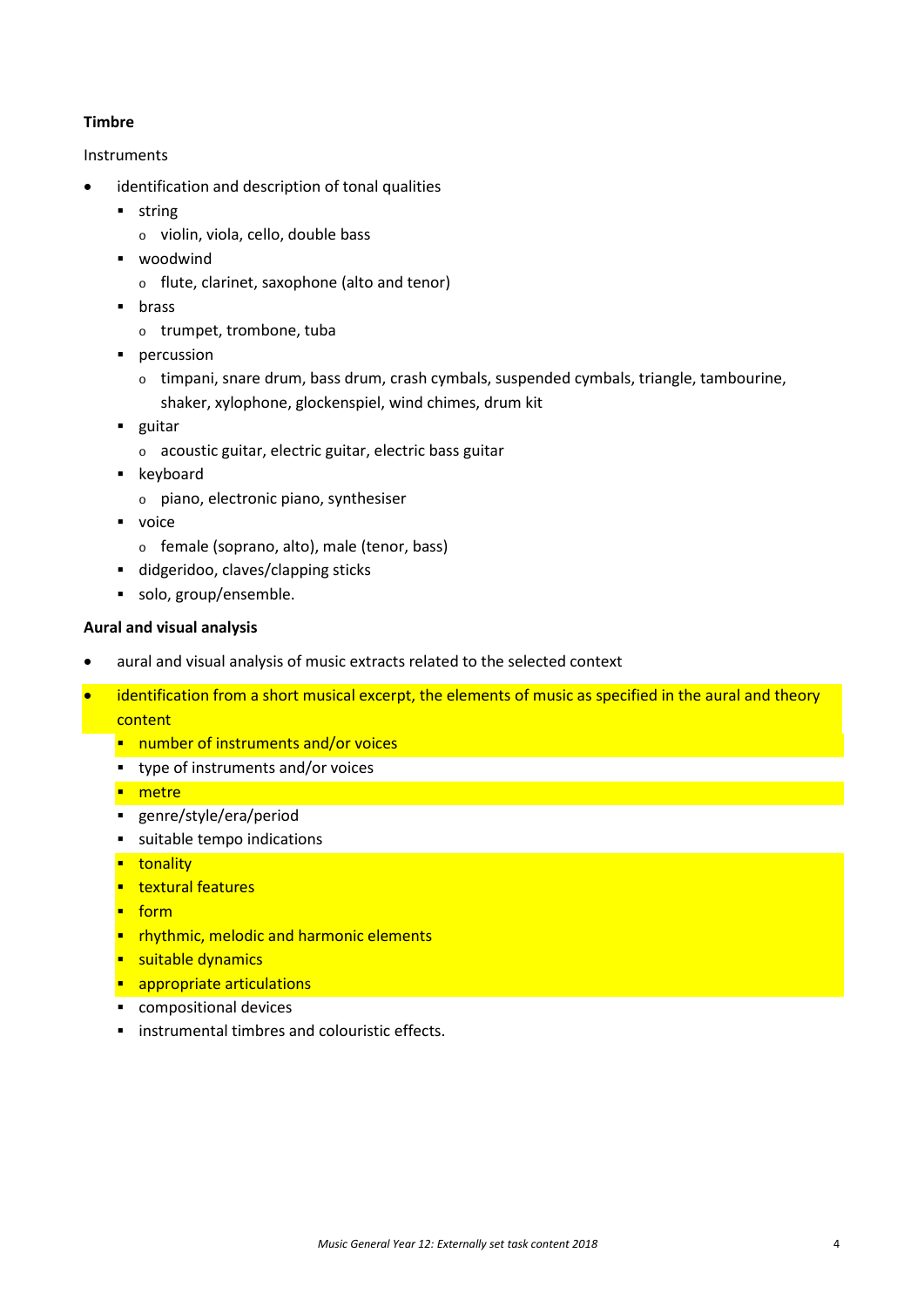## **Timbre**

## Instruments

- identification and description of tonal qualities
	- **string** 
		- o violin, viola, cello, double bass
	- **•** woodwind
		- o flute, clarinet, saxophone (alto and tenor)
	- **u** brass
		- o trumpet, trombone, tuba
	- **•** percussion
		- o timpani, snare drum, bass drum, crash cymbals, suspended cymbals, triangle, tambourine, shaker, xylophone, glockenspiel, wind chimes, drum kit
	- **guitar** 
		- o acoustic guitar, electric guitar, electric bass guitar
	- **EXEC** keyboard
		- o piano, electronic piano, synthesiser
	- voice
		- o female (soprano, alto), male (tenor, bass)
	- didgeridoo, claves/clapping sticks
	- solo, group/ensemble.

## **Aural and visual analysis**

- aural and visual analysis of music extracts related to the selected context
- identification from a short musical excerpt, the elements of music as specified in the aural and theory content
	- **number of instruments and/or voices**
	- type of instruments and/or voices
	- **n**etre
	- genre/style/era/period
	- suitable tempo indications
	- **u**tonality
	- **textural features**
	- $f_{\text{form}}$
	- **F** rhythmic, melodic and harmonic elements
	- **suitable dynamics**
	- **appropriate articulations**
	- compositional devices
	- **EXECUTE:** instrumental timbres and colouristic effects.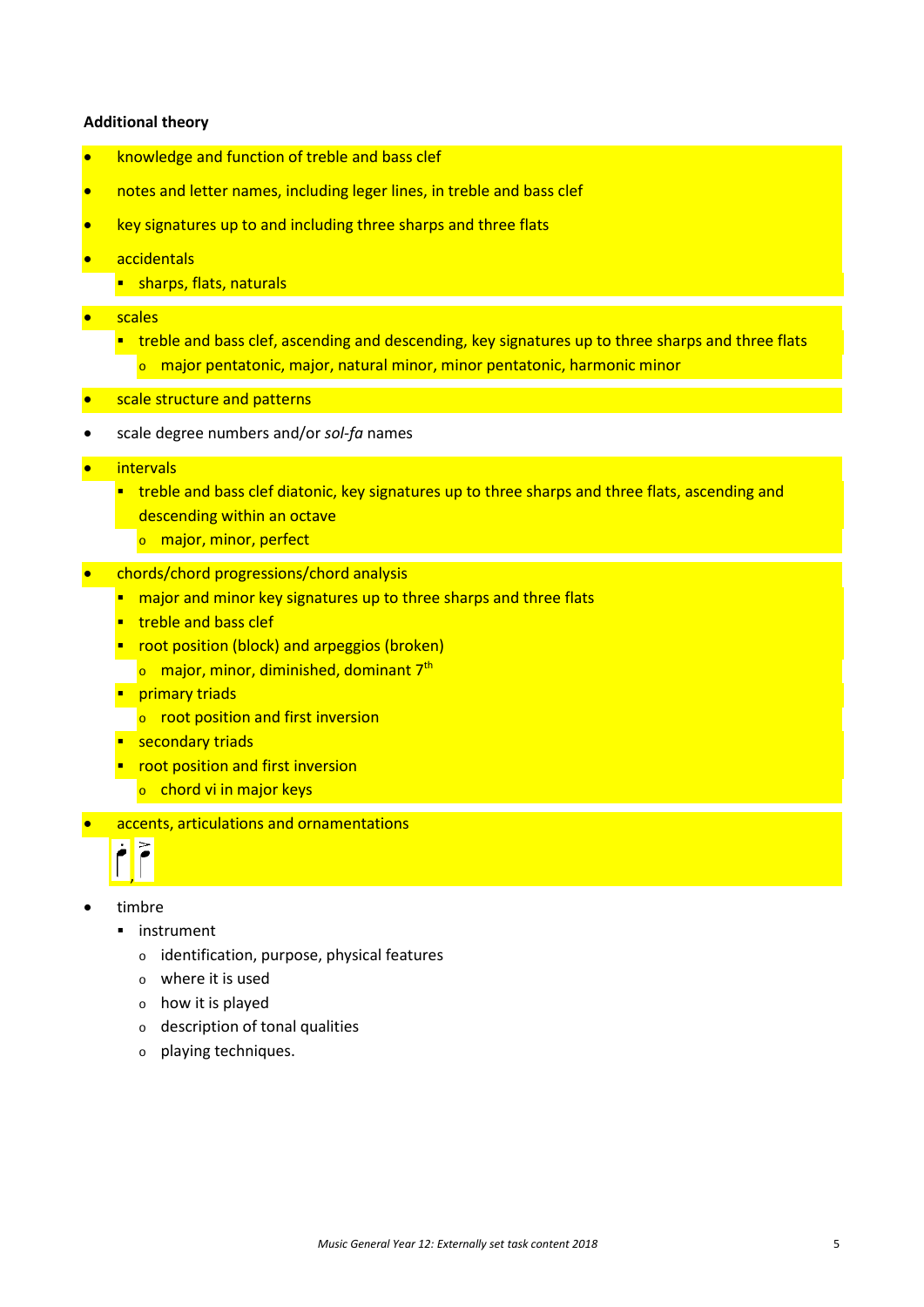#### **Additional theory**

- knowledge and function of treble and bass clef
- notes and letter names, including leger lines, in treble and bass clef
- key signatures up to and including three sharps and three flats
- accidentals
	- **sharps, flats, naturals**
- scales
	- **thata)** treble and bass clef, ascending and descending, key signatures up to three sharps and three flats o major pentatonic, major, natural minor, minor pentatonic, harmonic minor
- scale structure and patterns
- scale degree numbers and/or *sol-fa* names
- **intervals** 
	- **the stand bass clef diatonic, key signatures up to three sharps and three flats, ascending and 1** descending within an octave
		- o major, minor, perfect
- chords/chord progressions/chord analysis
	- **nd** major and minor key signatures up to three sharps and three flats
	- **treble and bass clef**
	- **•** root position (block) and arpeggios (broken)
		- $\circ$  major, minor, diminished, dominant 7<sup>th</sup>
	- **Primary triads** 
		- $\circ$  root position and first inversion
	- **secondary triads**
	- **•** root position and first inversion
		- o chord vi in major keys
- accents, articulations and ornamentations



- timbre
	- **·** instrument
		- o identification, purpose, physical features
		- o where it is used
		- o how it is played
		- o description of tonal qualities
		- o playing techniques.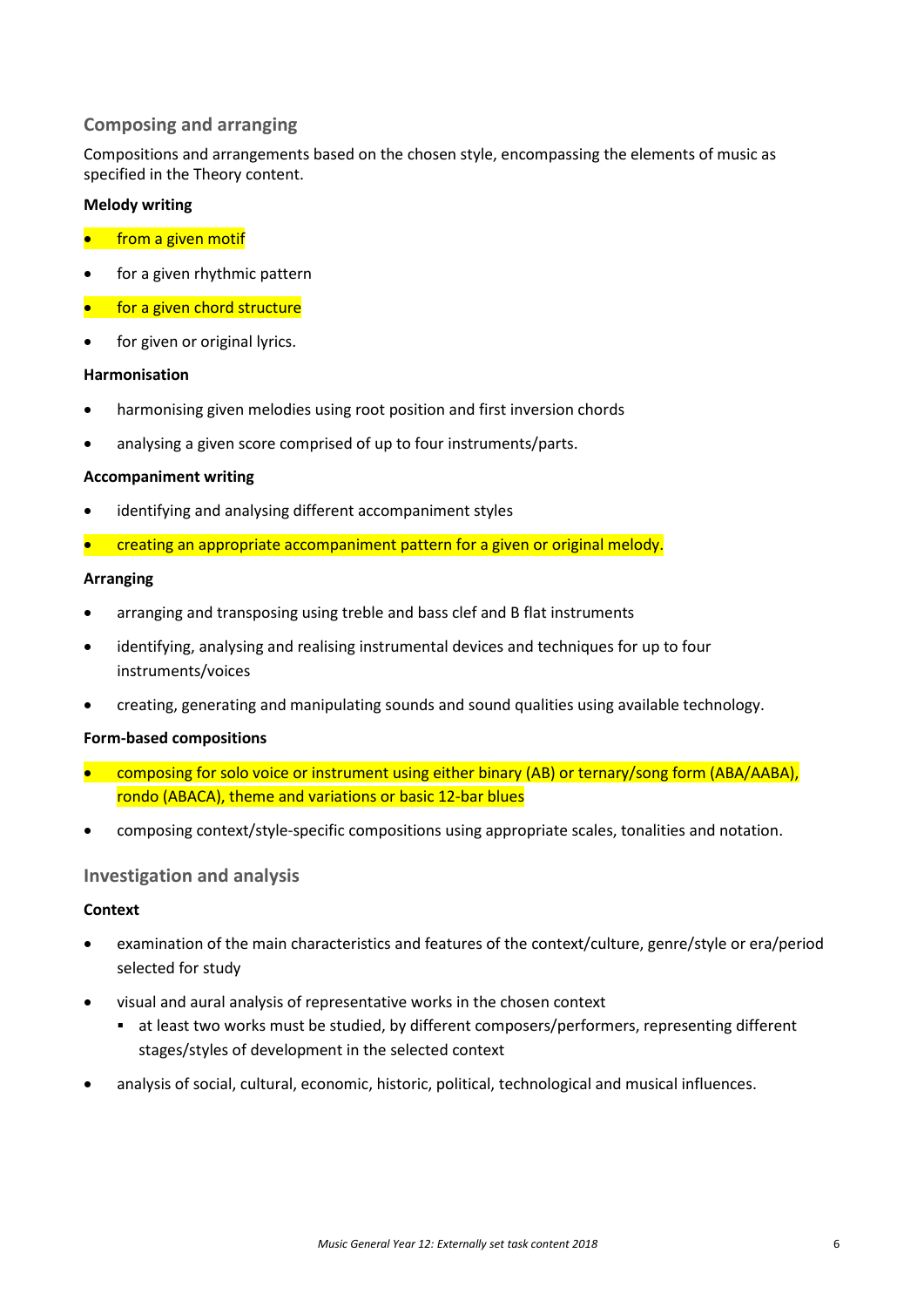## **Composing and arranging**

Compositions and arrangements based on the chosen style, encompassing the elements of music as specified in the Theory content.

## **Melody writing**

- **•** from a given motif
- for a given rhythmic pattern
- for a given chord structure
- for given or original lyrics.

## **Harmonisation**

- harmonising given melodies using root position and first inversion chords
- analysing a given score comprised of up to four instruments/parts.

## **Accompaniment writing**

- identifying and analysing different accompaniment styles
- creating an appropriate accompaniment pattern for a given or original melody.

#### **Arranging**

- arranging and transposing using treble and bass clef and B flat instruments
- identifying, analysing and realising instrumental devices and techniques for up to four instruments/voices
- creating, generating and manipulating sounds and sound qualities using available technology.

## **Form-based compositions**

- composing for solo voice or instrument using either binary (AB) or ternary/song form (ABA/AABA), rondo (ABACA), theme and variations or basic 12-bar blues
- composing context/style-specific compositions using appropriate scales, tonalities and notation.

## **Investigation and analysis**

## **Context**

- examination of the main characteristics and features of the context/culture, genre/style or era/period selected for study
- visual and aural analysis of representative works in the chosen context
	- at least two works must be studied, by different composers/performers, representing different stages/styles of development in the selected context
- analysis of social, cultural, economic, historic, political, technological and musical influences.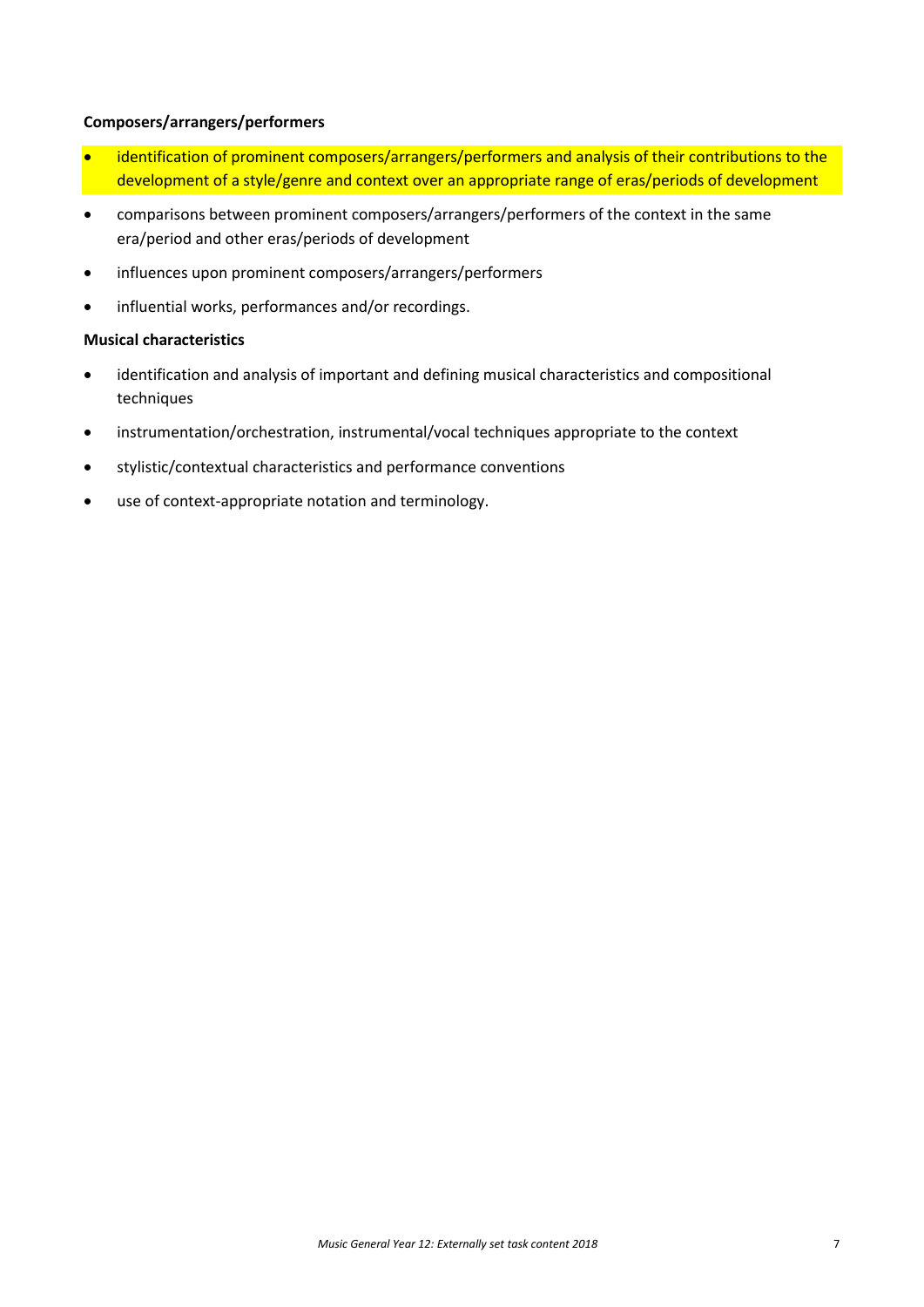## **Composers/arrangers/performers**

- identification of prominent composers/arrangers/performers and analysis of their contributions to the development of a style/genre and context over an appropriate range of eras/periods of development
- comparisons between prominent composers/arrangers/performers of the context in the same era/period and other eras/periods of development
- influences upon prominent composers/arrangers/performers
- influential works, performances and/or recordings.

## **Musical characteristics**

- identification and analysis of important and defining musical characteristics and compositional techniques
- instrumentation/orchestration, instrumental/vocal techniques appropriate to the context
- stylistic/contextual characteristics and performance conventions
- use of context-appropriate notation and terminology.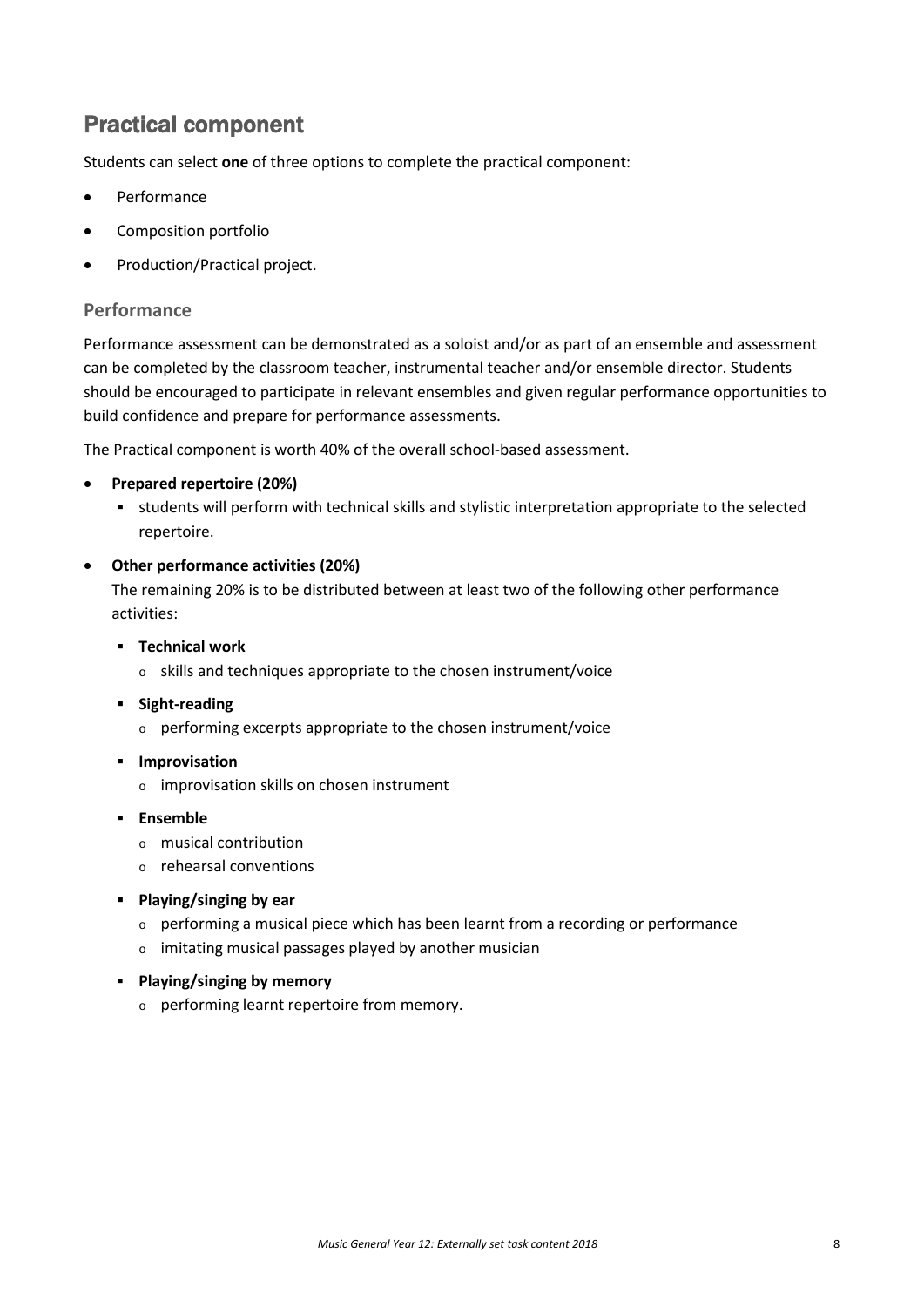## Practical component

Students can select **one** of three options to complete the practical component:

- **Performance**
- Composition portfolio
- Production/Practical project.

## **Performance**

Performance assessment can be demonstrated as a soloist and/or as part of an ensemble and assessment can be completed by the classroom teacher, instrumental teacher and/or ensemble director. Students should be encouraged to participate in relevant ensembles and given regular performance opportunities to build confidence and prepare for performance assessments.

The Practical component is worth 40% of the overall school-based assessment.

## • **Prepared repertoire (20%)**

 students will perform with technical skills and stylistic interpretation appropriate to the selected repertoire.

## • **Other performance activities (20%)**

The remaining 20% is to be distributed between at least two of the following other performance activities:

- **Technical work**
	- o skills and techniques appropriate to the chosen instrument/voice
- **Fight-reading** 
	- o performing excerpts appropriate to the chosen instrument/voice
- **Improvisation** 
	- o improvisation skills on chosen instrument
- **Ensemble**
	- o musical contribution
	- o rehearsal conventions
- **Playing/singing by ear**
	- o performing a musical piece which has been learnt from a recording or performance
	- o imitating musical passages played by another musician
- **Playing/singing by memory**
	- o performing learnt repertoire from memory.